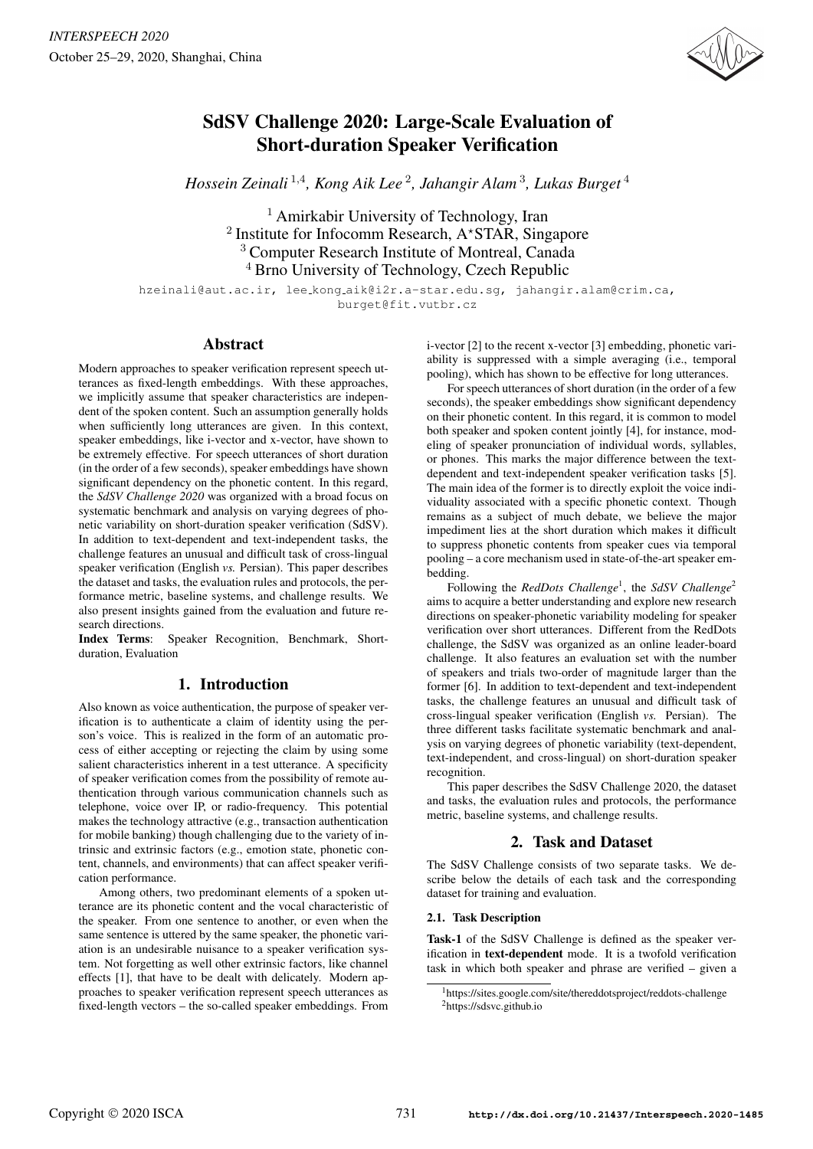

# SdSV Challenge 2020: Large-Scale Evaluation of Short-duration Speaker Verification

*Hossein Zeinali* <sup>1</sup>,<sup>4</sup> *, Kong Aik Lee* <sup>2</sup> *, Jahangir Alam* <sup>3</sup> *, Lukas Burget* <sup>4</sup>

 $<sup>1</sup>$  Amirkabir University of Technology, Iran</sup> Institute for Infocomm Research, A\*STAR, Singapore Computer Research Institute of Montreal, Canada Brno University of Technology, Czech Republic

hzeinali@aut.ac.ir, lee kong aik@i2r.a-star.edu.sg, jahangir.alam@crim.ca, burget@fit.vutbr.cz

# Abstract

Modern approaches to speaker verification represent speech utterances as fixed-length embeddings. With these approaches, we implicitly assume that speaker characteristics are independent of the spoken content. Such an assumption generally holds when sufficiently long utterances are given. In this context, speaker embeddings, like i-vector and x-vector, have shown to be extremely effective. For speech utterances of short duration (in the order of a few seconds), speaker embeddings have shown significant dependency on the phonetic content. In this regard, the *SdSV Challenge 2020* was organized with a broad focus on systematic benchmark and analysis on varying degrees of phonetic variability on short-duration speaker verification (SdSV). In addition to text-dependent and text-independent tasks, the challenge features an unusual and difficult task of cross-lingual speaker verification (English *vs.* Persian). This paper describes the dataset and tasks, the evaluation rules and protocols, the performance metric, baseline systems, and challenge results. We also present insights gained from the evaluation and future research directions.

Index Terms: Speaker Recognition, Benchmark, Shortduration, Evaluation

# 1. Introduction

Also known as voice authentication, the purpose of speaker verification is to authenticate a claim of identity using the person's voice. This is realized in the form of an automatic process of either accepting or rejecting the claim by using some salient characteristics inherent in a test utterance. A specificity of speaker verification comes from the possibility of remote authentication through various communication channels such as telephone, voice over IP, or radio-frequency. This potential makes the technology attractive (e.g., transaction authentication for mobile banking) though challenging due to the variety of intrinsic and extrinsic factors (e.g., emotion state, phonetic content, channels, and environments) that can affect speaker verification performance.

Among others, two predominant elements of a spoken utterance are its phonetic content and the vocal characteristic of the speaker. From one sentence to another, or even when the same sentence is uttered by the same speaker, the phonetic variation is an undesirable nuisance to a speaker verification system. Not forgetting as well other extrinsic factors, like channel effects [1], that have to be dealt with delicately. Modern approaches to speaker verification represent speech utterances as fixed-length vectors – the so-called speaker embeddings. From i-vector [2] to the recent x-vector [3] embedding, phonetic variability is suppressed with a simple averaging (i.e., temporal pooling), which has shown to be effective for long utterances.

For speech utterances of short duration (in the order of a few seconds), the speaker embeddings show significant dependency on their phonetic content. In this regard, it is common to model both speaker and spoken content jointly [4], for instance, modeling of speaker pronunciation of individual words, syllables, or phones. This marks the major difference between the textdependent and text-independent speaker verification tasks [5]. The main idea of the former is to directly exploit the voice individuality associated with a specific phonetic context. Though remains as a subject of much debate, we believe the major impediment lies at the short duration which makes it difficult to suppress phonetic contents from speaker cues via temporal pooling – a core mechanism used in state-of-the-art speaker embedding.

Following the *RedDots Challenge*<sup>1</sup>, the SdSV Challenge<sup>2</sup> aims to acquire a better understanding and explore new research directions on speaker-phonetic variability modeling for speaker verification over short utterances. Different from the RedDots challenge, the SdSV was organized as an online leader-board challenge. It also features an evaluation set with the number of speakers and trials two-order of magnitude larger than the former [6]. In addition to text-dependent and text-independent tasks, the challenge features an unusual and difficult task of cross-lingual speaker verification (English *vs.* Persian). The three different tasks facilitate systematic benchmark and analysis on varying degrees of phonetic variability (text-dependent, text-independent, and cross-lingual) on short-duration speaker recognition.

This paper describes the SdSV Challenge 2020, the dataset and tasks, the evaluation rules and protocols, the performance metric, baseline systems, and challenge results.

# 2. Task and Dataset

The SdSV Challenge consists of two separate tasks. We describe below the details of each task and the corresponding dataset for training and evaluation.

## 2.1. Task Description

Task-1 of the SdSV Challenge is defined as the speaker verification in text-dependent mode. It is a twofold verification task in which both speaker and phrase are verified – given a

<sup>&</sup>lt;sup>1</sup>https://sites.google.com/site/thereddotsproject/reddots-challenge <sup>2</sup>https://sdsvc.github.io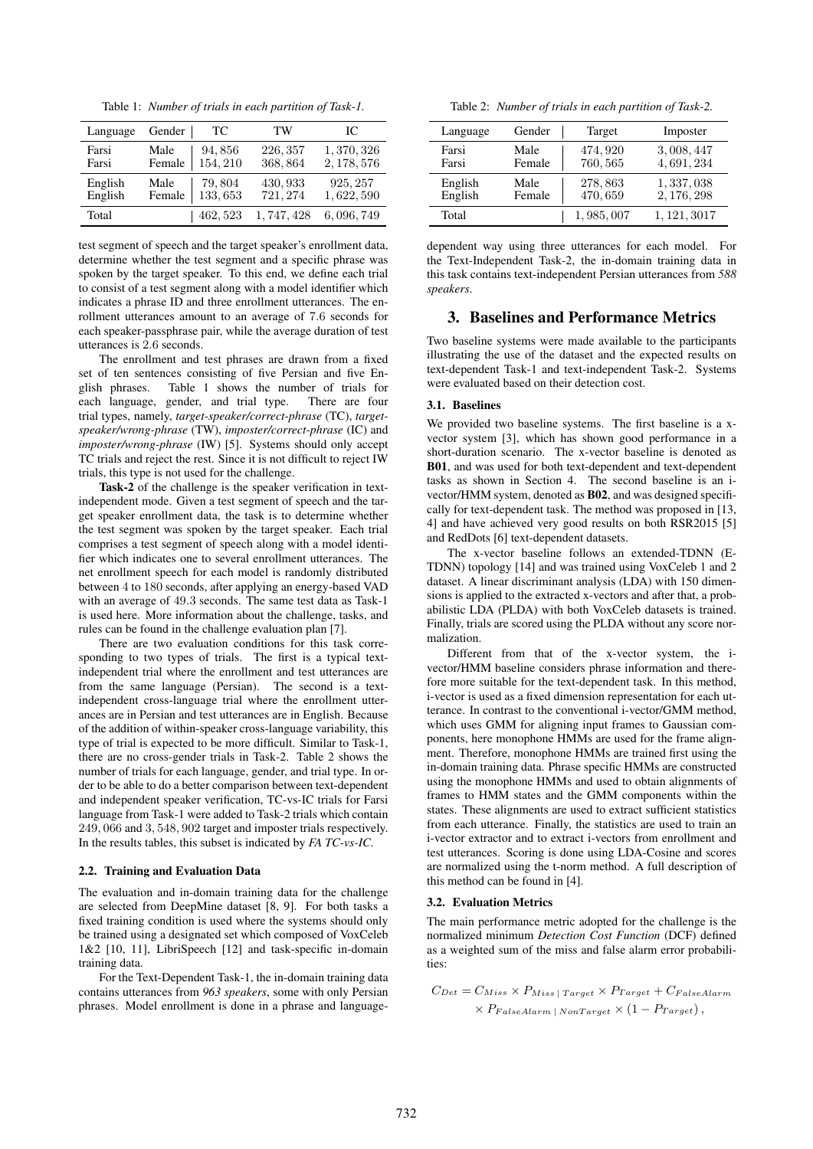Table 1: *Number of trials in each partition of Task-1.*

| Language | Gender | TC.      | TW        | IC.         |
|----------|--------|----------|-----------|-------------|
| Farsi    | Male   | 94,856   | 226, 357  | 1, 370, 326 |
| Farsi    | Female | 154, 210 | 368,864   | 2, 178, 576 |
| English  | Male   | 79,804   | 430, 933  | 925, 257    |
| English  | Female | 133,653  | 721, 274  | 1,622,590   |
| Total    |        | 462, 523 | 1,747,428 | 6,096,749   |

test segment of speech and the target speaker's enrollment data, determine whether the test segment and a specific phrase was spoken by the target speaker. To this end, we define each trial to consist of a test segment along with a model identifier which indicates a phrase ID and three enrollment utterances. The enrollment utterances amount to an average of 7.6 seconds for each speaker-passphrase pair, while the average duration of test utterances is 2.6 seconds.

The enrollment and test phrases are drawn from a fixed set of ten sentences consisting of five Persian and five English phrases. Table 1 shows the number of trials for each language, gender, and trial type. There are four trial types, namely, *target-speaker/correct-phrase* (TC), *targetspeaker/wrong-phrase* (TW), *imposter/correct-phrase* (IC) and *imposter/wrong-phrase* (IW) [5]. Systems should only accept TC trials and reject the rest. Since it is not difficult to reject IW trials, this type is not used for the challenge.

Task-2 of the challenge is the speaker verification in textindependent mode. Given a test segment of speech and the target speaker enrollment data, the task is to determine whether the test segment was spoken by the target speaker. Each trial comprises a test segment of speech along with a model identifier which indicates one to several enrollment utterances. The net enrollment speech for each model is randomly distributed between 4 to 180 seconds, after applying an energy-based VAD with an average of 49.3 seconds. The same test data as Task-1 is used here. More information about the challenge, tasks, and rules can be found in the challenge evaluation plan [7].

There are two evaluation conditions for this task corresponding to two types of trials. The first is a typical textindependent trial where the enrollment and test utterances are from the same language (Persian). The second is a textindependent cross-language trial where the enrollment utterances are in Persian and test utterances are in English. Because of the addition of within-speaker cross-language variability, this type of trial is expected to be more difficult. Similar to Task-1, there are no cross-gender trials in Task-2. Table 2 shows the number of trials for each language, gender, and trial type. In order to be able to do a better comparison between text-dependent and independent speaker verification, TC-vs-IC trials for Farsi language from Task-1 were added to Task-2 trials which contain 249, 066 and 3, 548, 902 target and imposter trials respectively. In the results tables, this subset is indicated by *FA TC-vs-IC*.

### 2.2. Training and Evaluation Data

The evaluation and in-domain training data for the challenge are selected from DeepMine dataset [8, 9]. For both tasks a fixed training condition is used where the systems should only be trained using a designated set which composed of VoxCeleb 1&2 [10, 11], LibriSpeech [12] and task-specific in-domain training data.

For the Text-Dependent Task-1, the in-domain training data contains utterances from *963 speakers*, some with only Persian phrases. Model enrollment is done in a phrase and language-

Table 2: *Number of trials in each partition of Task-2.*

| Language | Gender | Target    | Imposter     |
|----------|--------|-----------|--------------|
| Farsi    | Male   | 474, 920  | 3,008,447    |
| Farsi    | Female | 760, 565  | 4,691,234    |
| English  | Male   | 278,863   | 1, 337, 038  |
| English  | Female | 470,659   | 2, 176, 298  |
| Total    |        | 1,985,007 | 1, 121, 3017 |

dependent way using three utterances for each model. For the Text-Independent Task-2, the in-domain training data in this task contains text-independent Persian utterances from *588 speakers*.

# 3. Baselines and Performance Metrics

Two baseline systems were made available to the participants illustrating the use of the dataset and the expected results on text-dependent Task-1 and text-independent Task-2. Systems were evaluated based on their detection cost.

## 3.1. Baselines

We provided two baseline systems. The first baseline is a xvector system [3], which has shown good performance in a short-duration scenario. The x-vector baseline is denoted as B01, and was used for both text-dependent and text-dependent tasks as shown in Section 4. The second baseline is an ivector/HMM system, denoted as B02, and was designed specifically for text-dependent task. The method was proposed in [13, 4] and have achieved very good results on both RSR2015 [5] and RedDots [6] text-dependent datasets.

The x-vector baseline follows an extended-TDNN (E-TDNN) topology [14] and was trained using VoxCeleb 1 and 2 dataset. A linear discriminant analysis (LDA) with 150 dimensions is applied to the extracted x-vectors and after that, a probabilistic LDA (PLDA) with both VoxCeleb datasets is trained. Finally, trials are scored using the PLDA without any score normalization.

Different from that of the x-vector system, the ivector/HMM baseline considers phrase information and therefore more suitable for the text-dependent task. In this method, i-vector is used as a fixed dimension representation for each utterance. In contrast to the conventional i-vector/GMM method, which uses GMM for aligning input frames to Gaussian components, here monophone HMMs are used for the frame alignment. Therefore, monophone HMMs are trained first using the in-domain training data. Phrase specific HMMs are constructed using the monophone HMMs and used to obtain alignments of frames to HMM states and the GMM components within the states. These alignments are used to extract sufficient statistics from each utterance. Finally, the statistics are used to train an i-vector extractor and to extract i-vectors from enrollment and test utterances. Scoring is done using LDA-Cosine and scores are normalized using the t-norm method. A full description of this method can be found in [4].

#### 3.2. Evaluation Metrics

The main performance metric adopted for the challenge is the normalized minimum *Detection Cost Function* (DCF) defined as a weighted sum of the miss and false alarm error probabilities:

$$
C_{Det} = C_{Miss} \times P_{Miss \mid Target} \times P_{Target} + C_{False Alarm}
$$

$$
\times P_{False Alarm \mid NonTarget} \times (1 - P_{Target}),
$$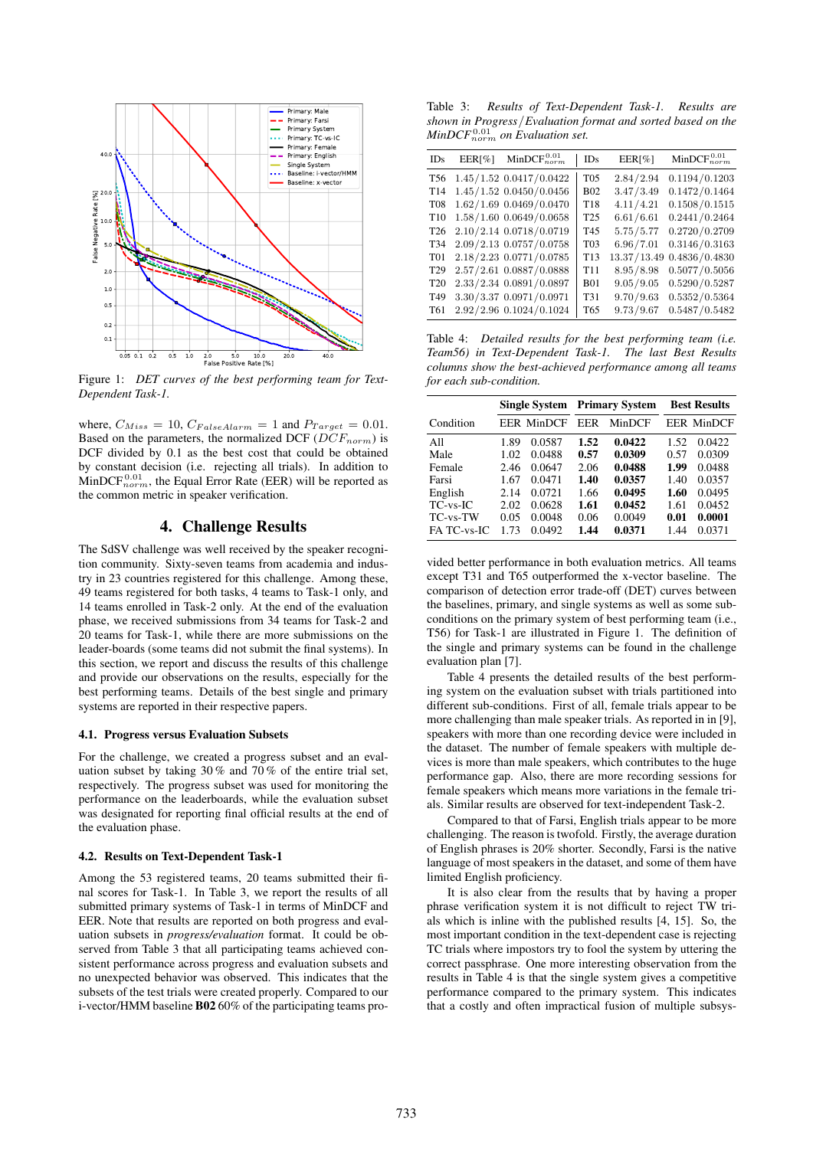

Figure 1: *DET curves of the best performing team for Text-Dependent Task-1.*

where,  $C_{Miss} = 10$ ,  $C_{False}$  alarm = 1 and  $P_{Target} = 0.01$ . Based on the parameters, the normalized DCF ( $DCF_{norm}$ ) is DCF divided by 0.1 as the best cost that could be obtained by constant decision (i.e. rejecting all trials). In addition to  $MinDCF_{norm}^{0.01}$ , the Equal Error Rate (EER) will be reported as the common metric in speaker verification.

# 4. Challenge Results

The SdSV challenge was well received by the speaker recognition community. Sixty-seven teams from academia and industry in 23 countries registered for this challenge. Among these, 49 teams registered for both tasks, 4 teams to Task-1 only, and 14 teams enrolled in Task-2 only. At the end of the evaluation phase, we received submissions from 34 teams for Task-2 and 20 teams for Task-1, while there are more submissions on the leader-boards (some teams did not submit the final systems). In this section, we report and discuss the results of this challenge and provide our observations on the results, especially for the best performing teams. Details of the best single and primary systems are reported in their respective papers.

#### 4.1. Progress versus Evaluation Subsets

For the challenge, we created a progress subset and an evaluation subset by taking 30% and 70% of the entire trial set. respectively. The progress subset was used for monitoring the performance on the leaderboards, while the evaluation subset was designated for reporting final official results at the end of the evaluation phase.

#### 4.2. Results on Text-Dependent Task-1

Among the 53 registered teams, 20 teams submitted their final scores for Task-1. In Table 3, we report the results of all submitted primary systems of Task-1 in terms of MinDCF and EER. Note that results are reported on both progress and evaluation subsets in *progress/evaluation* format. It could be observed from Table 3 that all participating teams achieved consistent performance across progress and evaluation subsets and no unexpected behavior was observed. This indicates that the subsets of the test trials were created properly. Compared to our i-vector/HMM baseline B02 60% of the participating teams pro-

Table 3: *Results of Text-Dependent Task-1. Results are shown in Progress*/*Evaluation format and sorted based on the*  $MinDCF_{norm}^{0.01}$  on Evaluation set.

| IDs             | $EER[\%]$ | $MinDCF_{norm}^{0.01}$      | IDs             | EER[%]      | MinDCF $_{norm}^{0.01}$ |
|-----------------|-----------|-----------------------------|-----------------|-------------|-------------------------|
| T <sub>56</sub> |           | $1.45/1.52$ 0.0417/0.0422   | <b>T05</b>      | 2.84/2.94   | 0.1194/0.1203           |
| T <sub>14</sub> |           | $1.45/1.52$ $0.0450/0.0456$ | <b>B02</b>      | 3.47/3.49   | 0.1472/0.1464           |
| <b>T08</b>      |           | 1.62/1.69 0.0469/0.0470     | T18             | 4.11/4.21   | 0.1508/0.1515           |
| T <sub>10</sub> |           | 1.58/1.60 0.0649/0.0658     | T <sub>25</sub> | 6.61/6.61   | 0.2441/0.2464           |
| T <sub>26</sub> |           | 2.10/2.14 0.0718/0.0719     | T <sub>45</sub> | 5.75/5.77   | 0.2720/0.2709           |
| T <sub>34</sub> |           | 2.09/2.13 0.0757/0.0758     | T <sub>03</sub> | 6.96 / 7.01 | 0.3146/0.3163           |
| <b>T01</b>      |           | 2.18/2.23 0.0771/0.0785     | T13             | 13.37/13.49 | 0.4836/0.4830           |
| T <sub>29</sub> |           | 2.57/2.61 0.0887/0.0888     | T <sub>11</sub> | 8.95/8.98   | 0.5077/0.5056           |
| T <sub>20</sub> |           | 2.33/2.34 0.0891/0.0897     | <b>B01</b>      | 9.05/9.05   | 0.5290/0.5287           |
| T <sub>49</sub> |           | 3.30/3.37 0.0971/0.0971     | T31             | 9.70/9.63   | 0.5352/0.5364           |
| T61             |           | 2.92/2.96 0.1024/0.1024     | T <sub>65</sub> | 9.73/9.67   | 0.5487/0.5482           |

Table 4: *Detailed results for the best performing team (i.e. Team56) in Text-Dependent Task-1. The last Best Results columns show the best-achieved performance among all teams for each sub-condition.*

|                |      |                   | <b>Single System Primary System</b> |        | <b>Best Results</b> |                   |
|----------------|------|-------------------|-------------------------------------|--------|---------------------|-------------------|
| Condition      |      | <b>EER MinDCF</b> | EER                                 | MinDCF |                     | <b>EER MinDCF</b> |
| All            | 1.89 | 0.0587            | 1.52                                | 0.0422 | 1.52                | 0.0422            |
| Male           | 1.02 | 0.0488            | 0.57                                | 0.0309 | 0.57                | 0.0309            |
| Female         | 2.46 | 0.0647            | 2.06                                | 0.0488 | 1.99                | 0.0488            |
| Farsi          | 1.67 | 0.0471            | 1.40                                | 0.0357 | 1.40                | 0.0357            |
| English        | 2.14 | 0.0721            | 1.66                                | 0.0495 | 1.60                | 0.0495            |
| $TC$ -vs- $IC$ | 2.02 | 0.0628            | 1.61                                | 0.0452 | 1.61                | 0.0452            |
| TC-vs-TW       | 0.05 | 0.0048            | 0.06                                | 0.0049 | 0.01                | 0.0001            |
| FA TC-vs-IC    | 1.73 | 0.0492            | 1.44                                | 0.0371 | 1.44                | 0.0371            |

vided better performance in both evaluation metrics. All teams except T31 and T65 outperformed the x-vector baseline. The comparison of detection error trade-off (DET) curves between the baselines, primary, and single systems as well as some subconditions on the primary system of best performing team (i.e., T56) for Task-1 are illustrated in Figure 1. The definition of the single and primary systems can be found in the challenge evaluation plan [7].

Table 4 presents the detailed results of the best performing system on the evaluation subset with trials partitioned into different sub-conditions. First of all, female trials appear to be more challenging than male speaker trials. As reported in in [9], speakers with more than one recording device were included in the dataset. The number of female speakers with multiple devices is more than male speakers, which contributes to the huge performance gap. Also, there are more recording sessions for female speakers which means more variations in the female trials. Similar results are observed for text-independent Task-2.

Compared to that of Farsi, English trials appear to be more challenging. The reason is twofold. Firstly, the average duration of English phrases is 20% shorter. Secondly, Farsi is the native language of most speakers in the dataset, and some of them have limited English proficiency.

It is also clear from the results that by having a proper phrase verification system it is not difficult to reject TW trials which is inline with the published results [4, 15]. So, the most important condition in the text-dependent case is rejecting TC trials where impostors try to fool the system by uttering the correct passphrase. One more interesting observation from the results in Table 4 is that the single system gives a competitive performance compared to the primary system. This indicates that a costly and often impractical fusion of multiple subsys-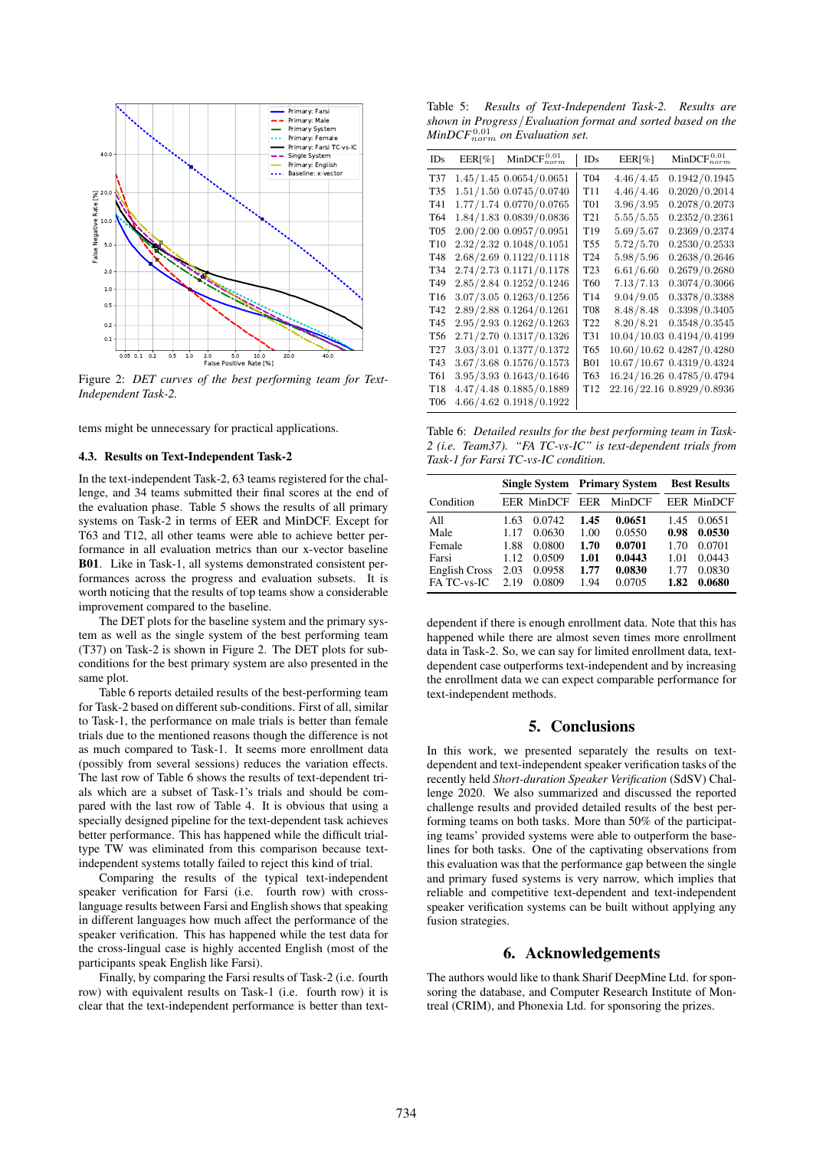

Figure 2: *DET curves of the best performing team for Text-Independent Task-2.*

tems might be unnecessary for practical applications.

#### 4.3. Results on Text-Independent Task-2

In the text-independent Task-2, 63 teams registered for the challenge, and 34 teams submitted their final scores at the end of the evaluation phase. Table 5 shows the results of all primary systems on Task-2 in terms of EER and MinDCF. Except for T63 and T12, all other teams were able to achieve better performance in all evaluation metrics than our x-vector baseline B01. Like in Task-1, all systems demonstrated consistent performances across the progress and evaluation subsets. It is worth noticing that the results of top teams show a considerable improvement compared to the baseline.

The DET plots for the baseline system and the primary system as well as the single system of the best performing team (T37) on Task-2 is shown in Figure 2. The DET plots for subconditions for the best primary system are also presented in the same plot.

Table 6 reports detailed results of the best-performing team for Task-2 based on different sub-conditions. First of all, similar to Task-1, the performance on male trials is better than female trials due to the mentioned reasons though the difference is not as much compared to Task-1. It seems more enrollment data (possibly from several sessions) reduces the variation effects. The last row of Table 6 shows the results of text-dependent trials which are a subset of Task-1's trials and should be compared with the last row of Table 4. It is obvious that using a specially designed pipeline for the text-dependent task achieves better performance. This has happened while the difficult trialtype TW was eliminated from this comparison because textindependent systems totally failed to reject this kind of trial.

Comparing the results of the typical text-independent speaker verification for Farsi (i.e. fourth row) with crosslanguage results between Farsi and English shows that speaking in different languages how much affect the performance of the speaker verification. This has happened while the test data for the cross-lingual case is highly accented English (most of the participants speak English like Farsi).

Finally, by comparing the Farsi results of Task-2 (i.e. fourth row) with equivalent results on Task-1 (i.e. fourth row) it is clear that the text-independent performance is better than text-

Table 5: *Results of Text-Independent Task-2. Results are shown in Progress*/*Evaluation format and sorted based on the*  $MinDCF_{norm}^{0.01}$  on Evaluation set.

| IDs             | EER[%] | $MinDCF_{norm}^{0.01}$  | IDs             | EER[%]      | $MinDCF_{norm}^{0.01}$    |
|-----------------|--------|-------------------------|-----------------|-------------|---------------------------|
| T37             |        | 1.45/1.45 0.0654/0.0651 | T04             | 4.46/4.45   | 0.1942/0.1945             |
| T35             |        | 1.51/1.50 0.0745/0.0740 | T <sub>11</sub> | 4.46/4.46   | 0.2020/0.2014             |
| T41             |        | 1.77/1.74 0.0770/0.0765 | T01             | 3.96/3.95   | 0.2078/0.2073             |
| T64             |        | 1.84/1.83 0.0839/0.0836 | T <sub>21</sub> | 5.55/5.55   | 0.2352/0.2361             |
| T05             |        | 2.00/2.00 0.0957/0.0951 | T19             | 5.69/5.67   | 0.2369/0.2374             |
| T <sub>10</sub> |        | 2.32/2.32 0.1048/0.1051 | T55             | 5.72/5.70   | 0.2530/0.2533             |
| T48             |        | 2.68/2.69 0.1122/0.1118 | T24             | 5.98/5.96   | 0.2638/0.2646             |
| T34             |        | 2.74/2.73 0.1171/0.1178 | T23             | 6.61/6.60   | 0.2679/0.2680             |
| T49             |        | 2.85/2.84 0.1252/0.1246 | T60             | 7.13/7.13   | 0.3074/0.3066             |
| T <sub>16</sub> |        | 3.07/3.05 0.1263/0.1256 | T14             | 9.04/9.05   | 0.3378/0.3388             |
| T42             |        | 2.89/2.88 0.1264/0.1261 | T08             | 8.48/8.48   | 0.3398/0.3405             |
| T45             |        | 2.95/2.93 0.1262/0.1263 | T22             | 8.20/8.21   | 0.3548/0.3545             |
| T56             |        | 2.71/2.70 0.1317/0.1326 | T31             | 10.04/10.03 | 0.4194/0.4199             |
| T27             |        | 3.03/3.01 0.1377/0.1372 | T65             |             | 10.60/10.62 0.4287/0.4280 |
| T43             |        | 3.67/3.68 0.1576/0.1573 | <b>B01</b>      |             | 10.67/10.67 0.4319/0.4324 |
| T61             |        | 3.95/3.93 0.1643/0.1646 | T63             |             | 16.24/16.26 0.4785/0.4794 |
| T18             |        | 4.47/4.48 0.1885/0.1889 | T <sub>12</sub> |             | 22.16/22.16 0.8929/0.8936 |
| T06             |        | 4.66/4.62 0.1918/0.1922 |                 |             |                           |

Table 6: *Detailed results for the best performing team in Task-2 (i.e. Team37). "FA TC-vs-IC" is text-dependent trials from Task-1 for Farsi TC-vs-IC condition.*

|                                                                       |                                              |                                                          | <b>Single System Primary System</b>          |                                                          | <b>Best Results</b>                          |                                                          |
|-----------------------------------------------------------------------|----------------------------------------------|----------------------------------------------------------|----------------------------------------------|----------------------------------------------------------|----------------------------------------------|----------------------------------------------------------|
| Condition                                                             |                                              | <b>EER MinDCF</b>                                        | EER                                          | MinDCF                                                   |                                              | <b>EER MinDCF</b>                                        |
| All<br>Male<br>Female<br>Farsi<br><b>English Cross</b><br>FA TC-vs-IC | 1.63<br>1.17<br>1.88<br>1.12<br>2.03<br>2.19 | 0.0742<br>0.0630<br>0.0800<br>0.0509<br>0.0958<br>0.0809 | 1.45<br>1.00<br>1.70<br>1.01<br>1.77<br>1.94 | 0.0651<br>0.0550<br>0.0701<br>0.0443<br>0.0830<br>0.0705 | 1.45<br>0.98<br>1.70<br>1.01<br>1.77<br>1.82 | 0.0651<br>0.0530<br>0.0701<br>0.0443<br>0.0830<br>0.0680 |

dependent if there is enough enrollment data. Note that this has happened while there are almost seven times more enrollment data in Task-2. So, we can say for limited enrollment data, textdependent case outperforms text-independent and by increasing the enrollment data we can expect comparable performance for text-independent methods.

### 5. Conclusions

In this work, we presented separately the results on textdependent and text-independent speaker verification tasks of the recently held *Short-duration Speaker Verification* (SdSV) Challenge 2020. We also summarized and discussed the reported challenge results and provided detailed results of the best performing teams on both tasks. More than 50% of the participating teams' provided systems were able to outperform the baselines for both tasks. One of the captivating observations from this evaluation was that the performance gap between the single and primary fused systems is very narrow, which implies that reliable and competitive text-dependent and text-independent speaker verification systems can be built without applying any fusion strategies.

### 6. Acknowledgements

The authors would like to thank Sharif DeepMine Ltd. for sponsoring the database, and Computer Research Institute of Montreal (CRIM), and Phonexia Ltd. for sponsoring the prizes.